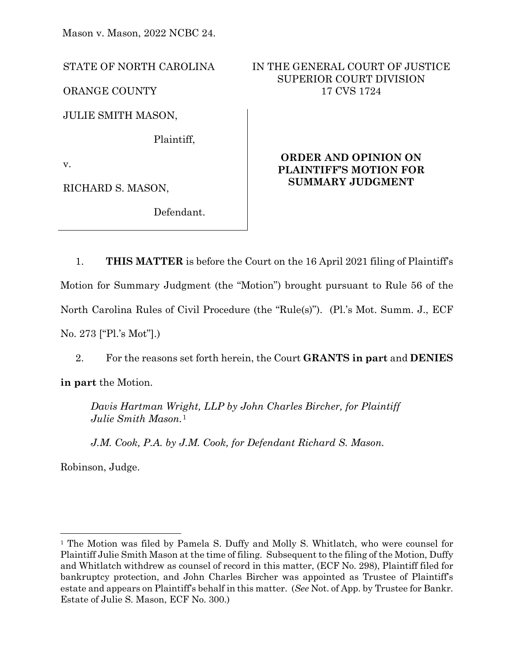Mason v. Mason, 2022 NCBC 24.

STATE OF NORTH CAROLINA

ORANGE COUNTY

JULIE SMITH MASON,

Plaintiff,

v.

RICHARD S. MASON,

Defendant.

# IN THE GENERAL COURT OF JUSTICE SUPERIOR COURT DIVISION 17 CVS 1724

# **ORDER AND OPINION ON PLAINTIFF'S MOTION FOR SUMMARY JUDGMENT**

1. **THIS MATTER** is before the Court on the 16 April 2021 filing of Plaintiff's Motion for Summary Judgment (the "Motion") brought pursuant to Rule 56 of the North Carolina Rules of Civil Procedure (the "Rule(s)"). (Pl.'s Mot. Summ. J., ECF No. 273 ["Pl.'s Mot"].)

2. For the reasons set forth herein, the Court **GRANTS in part** and **DENIES**

**in part** the Motion.

*Davis Hartman Wright, LLP by John Charles Bircher, for Plaintiff Julie Smith Mason.*[1](#page-0-0)

*J.M. Cook, P.A. by J.M. Cook, for Defendant Richard S. Mason.* 

Robinson, Judge.

<span id="page-0-0"></span><sup>&</sup>lt;sup>1</sup> The Motion was filed by Pamela S. Duffy and Molly S. Whitlatch, who were counsel for Plaintiff Julie Smith Mason at the time of filing. Subsequent to the filing of the Motion, Duffy and Whitlatch withdrew as counsel of record in this matter, (ECF No. 298), Plaintiff filed for bankruptcy protection, and John Charles Bircher was appointed as Trustee of Plaintiff's estate and appears on Plaintiff's behalf in this matter. (*See* Not. of App. by Trustee for Bankr. Estate of Julie S. Mason, ECF No. 300.)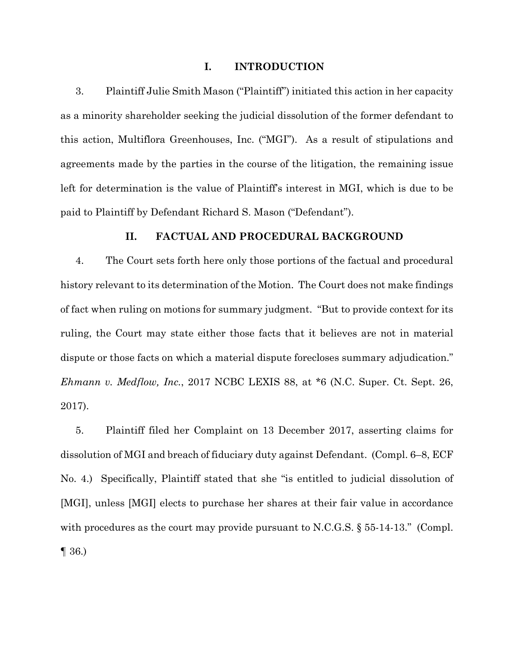#### **I. INTRODUCTION**

3. Plaintiff Julie Smith Mason ("Plaintiff") initiated this action in her capacity as a minority shareholder seeking the judicial dissolution of the former defendant to this action, Multiflora Greenhouses, Inc. ("MGI"). As a result of stipulations and agreements made by the parties in the course of the litigation, the remaining issue left for determination is the value of Plaintiff's interest in MGI, which is due to be paid to Plaintiff by Defendant Richard S. Mason ("Defendant").

## **II. FACTUAL AND PROCEDURAL BACKGROUND**

4. The Court sets forth here only those portions of the factual and procedural history relevant to its determination of the Motion. The Court does not make findings of fact when ruling on motions for summary judgment. "But to provide context for its ruling, the Court may state either those facts that it believes are not in material dispute or those facts on which a material dispute forecloses summary adjudication." *Ehmann v. Medflow, Inc.*, 2017 NCBC LEXIS 88, at \*6 (N.C. Super. Ct. Sept. 26, 2017).

5. Plaintiff filed her Complaint on 13 December 2017, asserting claims for dissolution of MGI and breach of fiduciary duty against Defendant. (Compl. 6–8, ECF No. 4.) Specifically, Plaintiff stated that she "is entitled to judicial dissolution of [MGI], unless [MGI] elects to purchase her shares at their fair value in accordance with procedures as the court may provide pursuant to N.C.G.S.  $\S 55-14-13$ ." (Compl. ¶ 36.)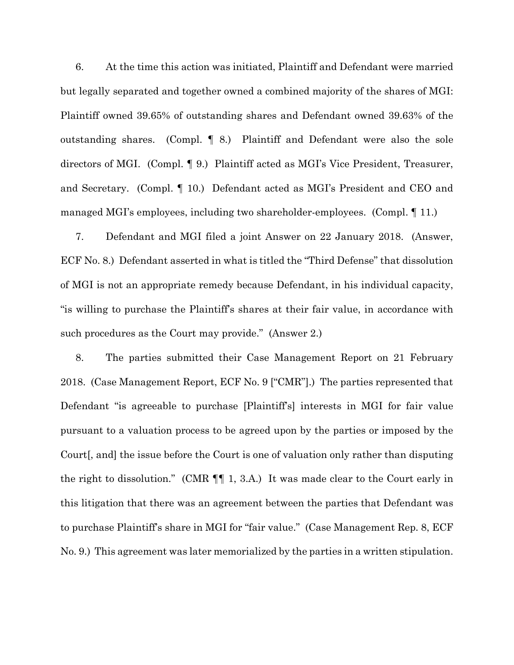6. At the time this action was initiated, Plaintiff and Defendant were married but legally separated and together owned a combined majority of the shares of MGI: Plaintiff owned 39.65% of outstanding shares and Defendant owned 39.63% of the outstanding shares. (Compl. ¶ 8.) Plaintiff and Defendant were also the sole directors of MGI. (Compl. ¶ 9.) Plaintiff acted as MGI's Vice President, Treasurer, and Secretary. (Compl. ¶ 10.) Defendant acted as MGI's President and CEO and managed MGI's employees, including two shareholder-employees. (Compl. ¶ 11.)

7. Defendant and MGI filed a joint Answer on 22 January 2018. (Answer, ECF No. 8.) Defendant asserted in what is titled the "Third Defense" that dissolution of MGI is not an appropriate remedy because Defendant, in his individual capacity, "is willing to purchase the Plaintiff's shares at their fair value, in accordance with such procedures as the Court may provide." (Answer 2.)

8. The parties submitted their Case Management Report on 21 February 2018. (Case Management Report, ECF No. 9 ["CMR"].) The parties represented that Defendant "is agreeable to purchase [Plaintiff's] interests in MGI for fair value pursuant to a valuation process to be agreed upon by the parties or imposed by the Court[, and] the issue before the Court is one of valuation only rather than disputing the right to dissolution." (CMR ¶¶ 1, 3.A.) It was made clear to the Court early in this litigation that there was an agreement between the parties that Defendant was to purchase Plaintiff's share in MGI for "fair value." (Case Management Rep. 8, ECF No. 9.) This agreement was later memorialized by the parties in a written stipulation.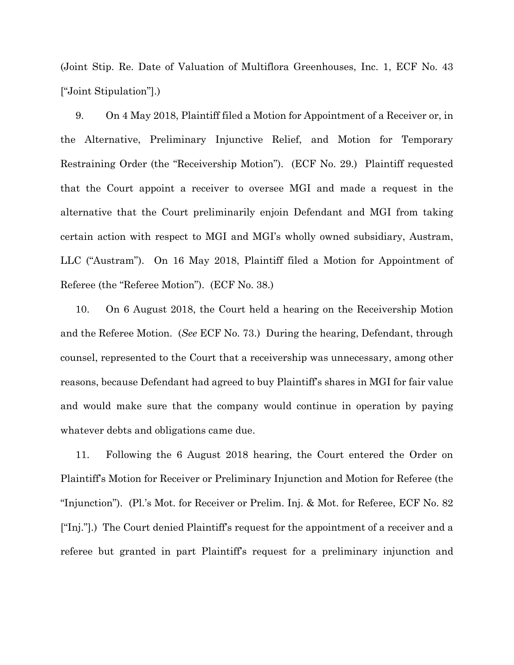(Joint Stip. Re. Date of Valuation of Multiflora Greenhouses, Inc. 1, ECF No. 43 ["Joint Stipulation"].)

9. On 4 May 2018, Plaintiff filed a Motion for Appointment of a Receiver or, in the Alternative, Preliminary Injunctive Relief, and Motion for Temporary Restraining Order (the "Receivership Motion"). (ECF No. 29.) Plaintiff requested that the Court appoint a receiver to oversee MGI and made a request in the alternative that the Court preliminarily enjoin Defendant and MGI from taking certain action with respect to MGI and MGI's wholly owned subsidiary, Austram, LLC ("Austram"). On 16 May 2018, Plaintiff filed a Motion for Appointment of Referee (the "Referee Motion"). (ECF No. 38.)

10. On 6 August 2018, the Court held a hearing on the Receivership Motion and the Referee Motion. (*See* ECF No. 73.) During the hearing, Defendant, through counsel, represented to the Court that a receivership was unnecessary, among other reasons, because Defendant had agreed to buy Plaintiff's shares in MGI for fair value and would make sure that the company would continue in operation by paying whatever debts and obligations came due.

11. Following the 6 August 2018 hearing, the Court entered the Order on Plaintiff's Motion for Receiver or Preliminary Injunction and Motion for Referee (the "Injunction"). (Pl.'s Mot. for Receiver or Prelim. Inj. & Mot. for Referee, ECF No. 82 ["Inj."].) The Court denied Plaintiff's request for the appointment of a receiver and a referee but granted in part Plaintiff's request for a preliminary injunction and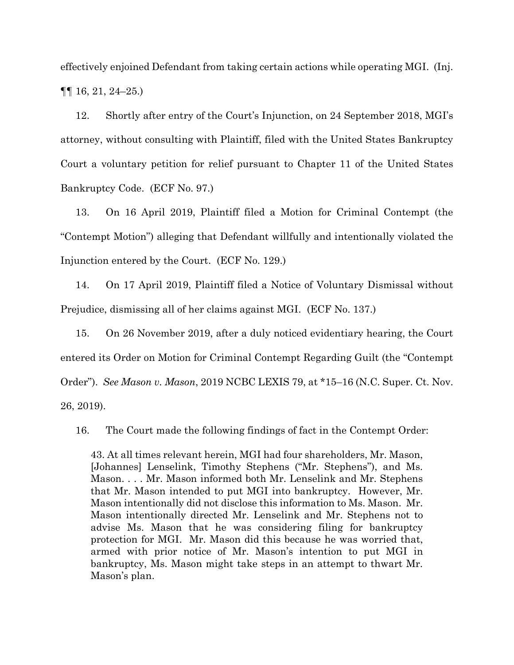effectively enjoined Defendant from taking certain actions while operating MGI. (Inj.  $\P\P$  16, 21, 24–25.)

12. Shortly after entry of the Court's Injunction, on 24 September 2018, MGI's attorney, without consulting with Plaintiff, filed with the United States Bankruptcy Court a voluntary petition for relief pursuant to Chapter 11 of the United States Bankruptcy Code. (ECF No. 97.)

13. On 16 April 2019, Plaintiff filed a Motion for Criminal Contempt (the "Contempt Motion") alleging that Defendant willfully and intentionally violated the Injunction entered by the Court. (ECF No. 129.)

14. On 17 April 2019, Plaintiff filed a Notice of Voluntary Dismissal without Prejudice, dismissing all of her claims against MGI. (ECF No. 137.)

15. On 26 November 2019, after a duly noticed evidentiary hearing, the Court entered its Order on Motion for Criminal Contempt Regarding Guilt (the "Contempt Order"). *See Mason v. Mason*, 2019 NCBC LEXIS 79, at \*15–16 (N.C. Super. Ct. Nov. 26, 2019).

16. The Court made the following findings of fact in the Contempt Order:

43. At all times relevant herein, MGI had four shareholders, Mr. Mason, [Johannes] Lenselink, Timothy Stephens ("Mr. Stephens"), and Ms. Mason. . . . Mr. Mason informed both Mr. Lenselink and Mr. Stephens that Mr. Mason intended to put MGI into bankruptcy. However, Mr. Mason intentionally did not disclose this information to Ms. Mason. Mr. Mason intentionally directed Mr. Lenselink and Mr. Stephens not to advise Ms. Mason that he was considering filing for bankruptcy protection for MGI. Mr. Mason did this because he was worried that, armed with prior notice of Mr. Mason's intention to put MGI in bankruptcy, Ms. Mason might take steps in an attempt to thwart Mr. Mason's plan.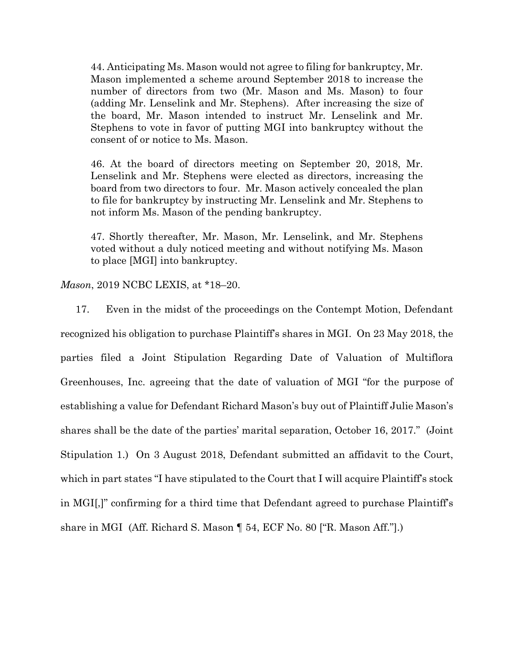44. Anticipating Ms. Mason would not agree to filing for bankruptcy, Mr. Mason implemented a scheme around September 2018 to increase the number of directors from two (Mr. Mason and Ms. Mason) to four (adding Mr. Lenselink and Mr. Stephens). After increasing the size of the board, Mr. Mason intended to instruct Mr. Lenselink and Mr. Stephens to vote in favor of putting MGI into bankruptcy without the consent of or notice to Ms. Mason.

46. At the board of directors meeting on September 20, 2018, Mr. Lenselink and Mr. Stephens were elected as directors, increasing the board from two directors to four. Mr. Mason actively concealed the plan to file for bankruptcy by instructing Mr. Lenselink and Mr. Stephens to not inform Ms. Mason of the pending bankruptcy.

47. Shortly thereafter, Mr. Mason, Mr. Lenselink, and Mr. Stephens voted without a duly noticed meeting and without notifying Ms. Mason to place [MGI] into bankruptcy.

*Mason*, 2019 NCBC LEXIS, at \*18–20.

17. Even in the midst of the proceedings on the Contempt Motion, Defendant recognized his obligation to purchase Plaintiff's shares in MGI. On 23 May 2018, the parties filed a Joint Stipulation Regarding Date of Valuation of Multiflora Greenhouses, Inc. agreeing that the date of valuation of MGI "for the purpose of establishing a value for Defendant Richard Mason's buy out of Plaintiff Julie Mason's shares shall be the date of the parties' marital separation, October 16, 2017." (Joint Stipulation 1.) On 3 August 2018, Defendant submitted an affidavit to the Court, which in part states "I have stipulated to the Court that I will acquire Plaintiff's stock in MGI[,]" confirming for a third time that Defendant agreed to purchase Plaintiff's share in MGI (Aff. Richard S. Mason ¶ 54, ECF No. 80 ["R. Mason Aff."].)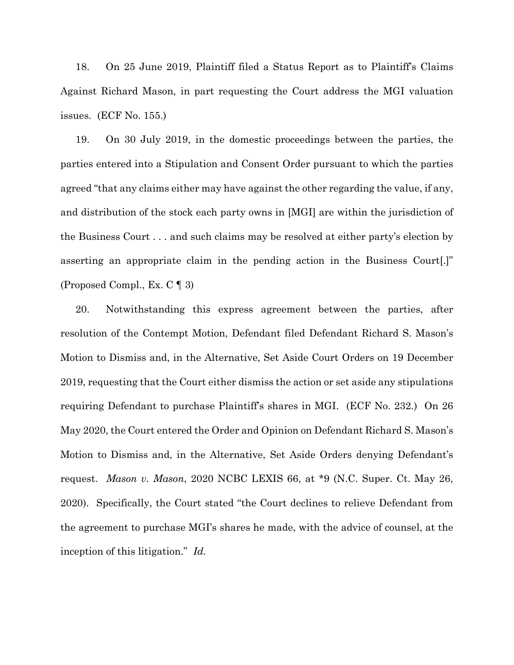18. On 25 June 2019, Plaintiff filed a Status Report as to Plaintiff's Claims Against Richard Mason, in part requesting the Court address the MGI valuation issues. (ECF No. 155.)

19. On 30 July 2019, in the domestic proceedings between the parties, the parties entered into a Stipulation and Consent Order pursuant to which the parties agreed "that any claims either may have against the other regarding the value, if any, and distribution of the stock each party owns in [MGI] are within the jurisdiction of the Business Court . . . and such claims may be resolved at either party's election by asserting an appropriate claim in the pending action in the Business Court[.]" (Proposed Compl., Ex. C ¶ 3)

20. Notwithstanding this express agreement between the parties, after resolution of the Contempt Motion, Defendant filed Defendant Richard S. Mason's Motion to Dismiss and, in the Alternative, Set Aside Court Orders on 19 December 2019, requesting that the Court either dismiss the action or set aside any stipulations requiring Defendant to purchase Plaintiff's shares in MGI. (ECF No. 232.) On 26 May 2020, the Court entered the Order and Opinion on Defendant Richard S. Mason's Motion to Dismiss and, in the Alternative, Set Aside Orders denying Defendant's request. *Mason v. Mason*, 2020 NCBC LEXIS 66, at \*9 (N.C. Super. Ct. May 26, 2020). Specifically, the Court stated "the Court declines to relieve Defendant from the agreement to purchase MGI's shares he made, with the advice of counsel, at the inception of this litigation." *Id.*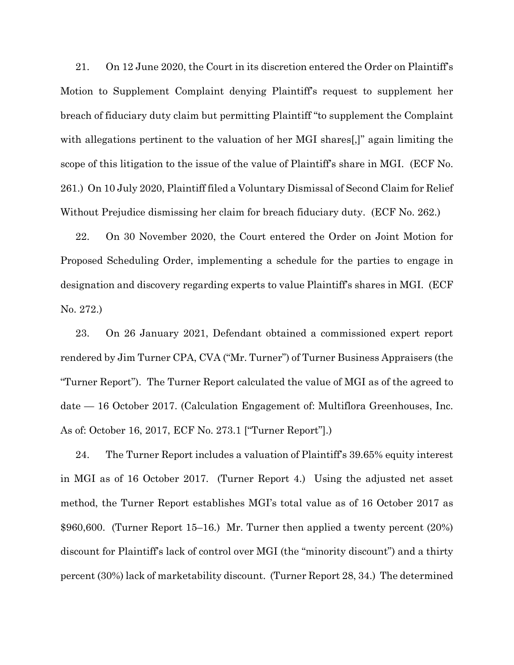21. On 12 June 2020, the Court in its discretion entered the Order on Plaintiff's Motion to Supplement Complaint denying Plaintiff's request to supplement her breach of fiduciary duty claim but permitting Plaintiff "to supplement the Complaint with allegations pertinent to the valuation of her MGI shares[,]" again limiting the scope of this litigation to the issue of the value of Plaintiff's share in MGI. (ECF No. 261.) On 10 July 2020, Plaintiff filed a Voluntary Dismissal of Second Claim for Relief Without Prejudice dismissing her claim for breach fiduciary duty. (ECF No. 262.)

22. On 30 November 2020, the Court entered the Order on Joint Motion for Proposed Scheduling Order, implementing a schedule for the parties to engage in designation and discovery regarding experts to value Plaintiff's shares in MGI. (ECF No. 272.)

23. On 26 January 2021, Defendant obtained a commissioned expert report rendered by Jim Turner CPA, CVA ("Mr. Turner") of Turner Business Appraisers (the "Turner Report"). The Turner Report calculated the value of MGI as of the agreed to date — 16 October 2017. (Calculation Engagement of: Multiflora Greenhouses, Inc. As of: October 16, 2017, ECF No. 273.1 ["Turner Report"].)

24. The Turner Report includes a valuation of Plaintiff's 39.65% equity interest in MGI as of 16 October 2017. (Turner Report 4.) Using the adjusted net asset method, the Turner Report establishes MGI's total value as of 16 October 2017 as \$960,600. (Turner Report 15–16.) Mr. Turner then applied a twenty percent (20%) discount for Plaintiff's lack of control over MGI (the "minority discount") and a thirty percent (30%) lack of marketability discount. (Turner Report 28, 34.) The determined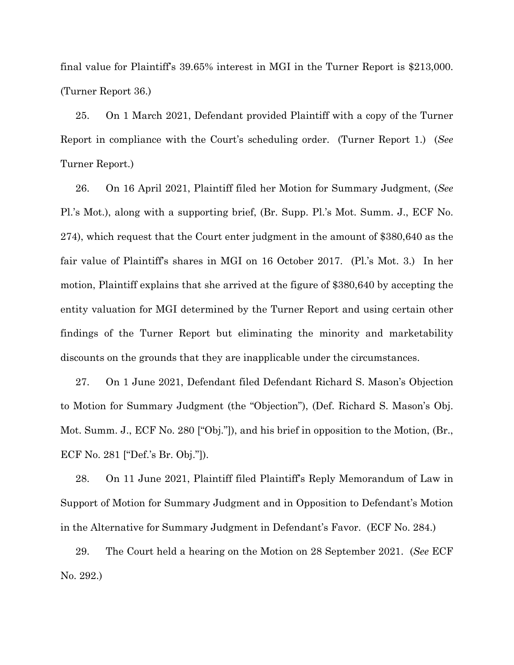final value for Plaintiff's 39.65% interest in MGI in the Turner Report is \$213,000. (Turner Report 36.)

25. On 1 March 2021, Defendant provided Plaintiff with a copy of the Turner Report in compliance with the Court's scheduling order. (Turner Report 1.) (*See* Turner Report.)

26. On 16 April 2021, Plaintiff filed her Motion for Summary Judgment, (*See*  Pl.'s Mot.), along with a supporting brief, (Br. Supp. Pl.'s Mot. Summ. J., ECF No. 274), which request that the Court enter judgment in the amount of \$380,640 as the fair value of Plaintiff's shares in MGI on 16 October 2017. (Pl.'s Mot. 3.) In her motion, Plaintiff explains that she arrived at the figure of \$380,640 by accepting the entity valuation for MGI determined by the Turner Report and using certain other findings of the Turner Report but eliminating the minority and marketability discounts on the grounds that they are inapplicable under the circumstances.

27. On 1 June 2021, Defendant filed Defendant Richard S. Mason's Objection to Motion for Summary Judgment (the "Objection"), (Def. Richard S. Mason's Obj. Mot. Summ. J., ECF No. 280 ["Obj."]), and his brief in opposition to the Motion, (Br., ECF No. 281 ["Def.'s Br. Obj."]).

28. On 11 June 2021, Plaintiff filed Plaintiff's Reply Memorandum of Law in Support of Motion for Summary Judgment and in Opposition to Defendant's Motion in the Alternative for Summary Judgment in Defendant's Favor. (ECF No. 284.)

29. The Court held a hearing on the Motion on 28 September 2021. (*See* ECF No. 292.)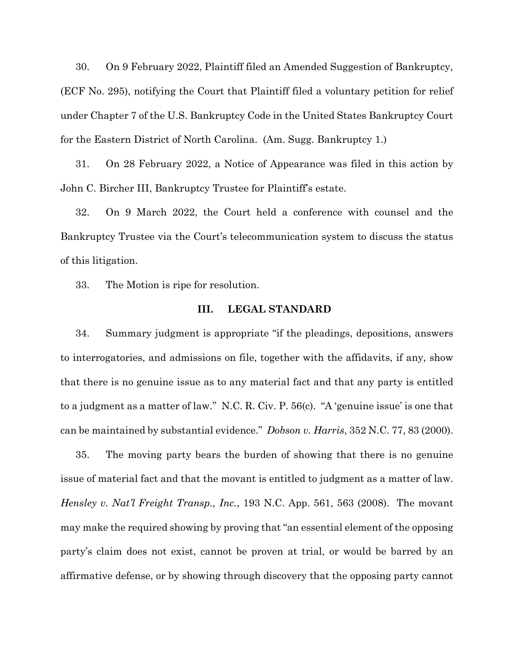30. On 9 February 2022, Plaintiff filed an Amended Suggestion of Bankruptcy, (ECF No. 295), notifying the Court that Plaintiff filed a voluntary petition for relief under Chapter 7 of the U.S. Bankruptcy Code in the United States Bankruptcy Court for the Eastern District of North Carolina. (Am. Sugg. Bankruptcy 1.)

31. On 28 February 2022, a Notice of Appearance was filed in this action by John C. Bircher III, Bankruptcy Trustee for Plaintiff's estate.

32. On 9 March 2022, the Court held a conference with counsel and the Bankruptcy Trustee via the Court's telecommunication system to discuss the status of this litigation.

33. The Motion is ripe for resolution.

#### **III. LEGAL STANDARD**

34. Summary judgment is appropriate "if the pleadings, depositions, answers to interrogatories, and admissions on file, together with the affidavits, if any, show that there is no genuine issue as to any material fact and that any party is entitled to a judgment as a matter of law." N.C. R. Civ. P. 56(c). "A 'genuine issue' is one that can be maintained by substantial evidence." *Dobson v. Harris*, 352 N.C. 77, 83 (2000).

35. The moving party bears the burden of showing that there is no genuine issue of material fact and that the movant is entitled to judgment as a matter of law. *Hensley v. Nat'l Freight Transp., Inc.*, 193 N.C. App. 561, 563 (2008). The movant may make the required showing by proving that "an essential element of the opposing party's claim does not exist, cannot be proven at trial, or would be barred by an affirmative defense, or by showing through discovery that the opposing party cannot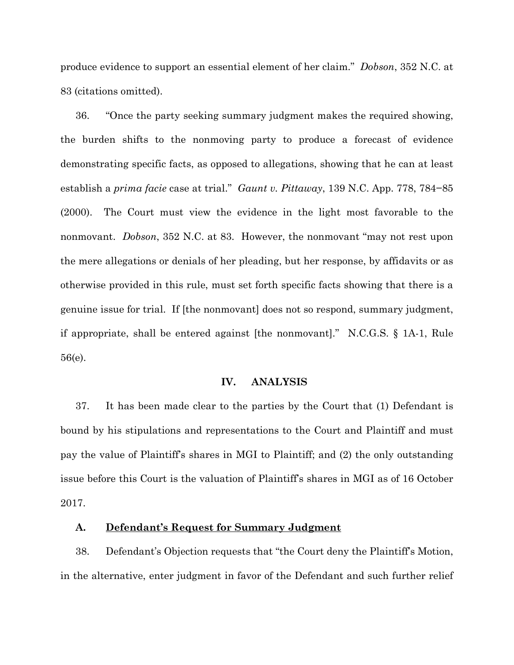produce evidence to support an essential element of her claim." *Dobson*, 352 N.C. at 83 (citations omitted).

36. "Once the party seeking summary judgment makes the required showing, the burden shifts to the nonmoving party to produce a forecast of evidence demonstrating specific facts, as opposed to allegations, showing that he can at least establish a *prima facie* case at trial." *Gaunt v. Pittaway*, 139 N.C. App. 778, 784−85 (2000). The Court must view the evidence in the light most favorable to the nonmovant. *Dobson*, 352 N.C. at 83. However, the nonmovant "may not rest upon the mere allegations or denials of her pleading, but her response, by affidavits or as otherwise provided in this rule, must set forth specific facts showing that there is a genuine issue for trial. If [the nonmovant] does not so respond, summary judgment, if appropriate, shall be entered against [the nonmovant]." N.C.G.S. § 1A-1, Rule 56(e).

#### **IV. ANALYSIS**

37. It has been made clear to the parties by the Court that (1) Defendant is bound by his stipulations and representations to the Court and Plaintiff and must pay the value of Plaintiff's shares in MGI to Plaintiff; and (2) the only outstanding issue before this Court is the valuation of Plaintiff's shares in MGI as of 16 October 2017.

### **A. Defendant's Request for Summary Judgment**

38. Defendant's Objection requests that "the Court deny the Plaintiff's Motion, in the alternative, enter judgment in favor of the Defendant and such further relief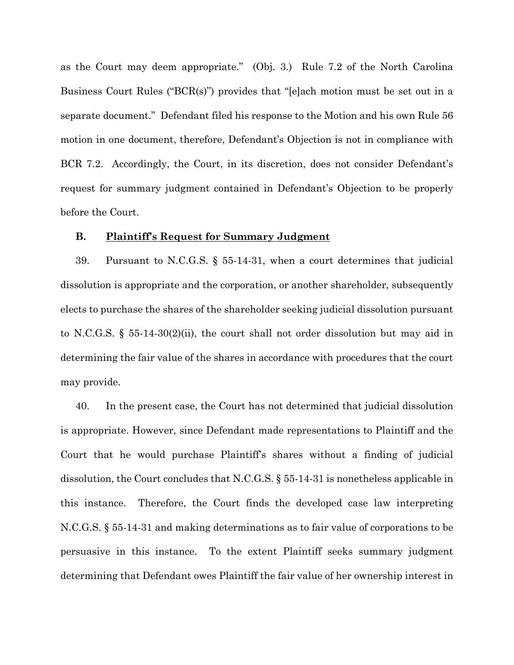as the Court may deem appropriate." (Obj. 3.) Rule 7.2 of the North Carolina Business Court Rules ("BCR(s)") provides that "[e]ach motion must be set out in a separate document." Defendant filed his response to the Motion and his own Rule 56 motion in one document, therefore, Defendant's Objection is not in compliance with BCR 7.2. Accordingly, the Court, in its discretion, does not consider Defendant's request for summary judgment contained in Defendant's Objection to be properly before the Court.

### **B. Plaintiff's Request for Summary Judgment**

39. Pursuant to N.C.G.S. § 55-14-31, when a court determines that judicial dissolution is appropriate and the corporation, or another shareholder, subsequently elects to purchase the shares of the shareholder seeking judicial dissolution pursuant to N.C.G.S. § 55-14-30(2)(ii), the court shall not order dissolution but may aid in determining the fair value of the shares in accordance with procedures that the court may provide.

40. In the present case, the Court has not determined that judicial dissolution is appropriate. However, since Defendant made representations to Plaintiff and the Court that he would purchase Plaintiff's shares without a finding of judicial dissolution, the Court concludes that N.C.G.S. § 55-14-31 is nonetheless applicable in this instance. Therefore, the Court finds the developed case law interpreting N.C.G.S. § 55-14-31 and making determinations as to fair value of corporations to be persuasive in this instance. To the extent Plaintiff seeks summary judgment determining that Defendant owes Plaintiff the fair value of her ownership interest in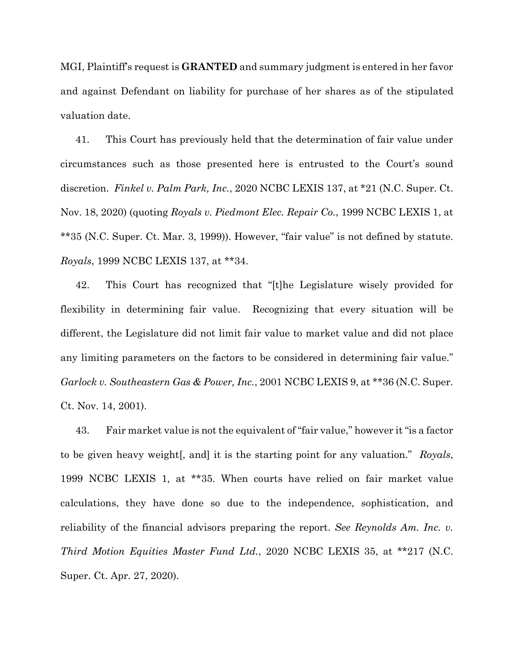MGI, Plaintiff's request is **GRANTED** and summary judgment is entered in her favor and against Defendant on liability for purchase of her shares as of the stipulated valuation date.

41. This Court has previously held that the determination of fair value under circumstances such as those presented here is entrusted to the Court's sound discretion. *Finkel v. Palm Park, Inc.*, 2020 NCBC LEXIS 137, at \*21 (N.C. Super. Ct. Nov. 18, 2020) (quoting *Royals v. Piedmont Elec. Repair Co.*, 1999 NCBC LEXIS 1, at \*\*35 (N.C. Super. Ct. Mar. 3, 1999)). However, "fair value" is not defined by statute. *Royals*, 1999 NCBC LEXIS 137, at \*\*34.

42. This Court has recognized that "[t]he Legislature wisely provided for flexibility in determining fair value. Recognizing that every situation will be different, the Legislature did not limit fair value to market value and did not place any limiting parameters on the factors to be considered in determining fair value." *Garlock v. Southeastern Gas & Power, Inc.*, 2001 NCBC LEXIS 9, at \*\*36 (N.C. Super. Ct. Nov. 14, 2001).

43. Fair market value is not the equivalent of "fair value," however it "is a factor to be given heavy weight[, and] it is the starting point for any valuation." *Royals*, 1999 NCBC LEXIS 1, at \*\*35. When courts have relied on fair market value calculations, they have done so due to the independence, sophistication, and reliability of the financial advisors preparing the report. *See Reynolds Am. Inc. v. Third Motion Equities Master Fund Ltd.*, 2020 NCBC LEXIS 35, at \*\*217 (N.C. Super. Ct. Apr. 27, 2020).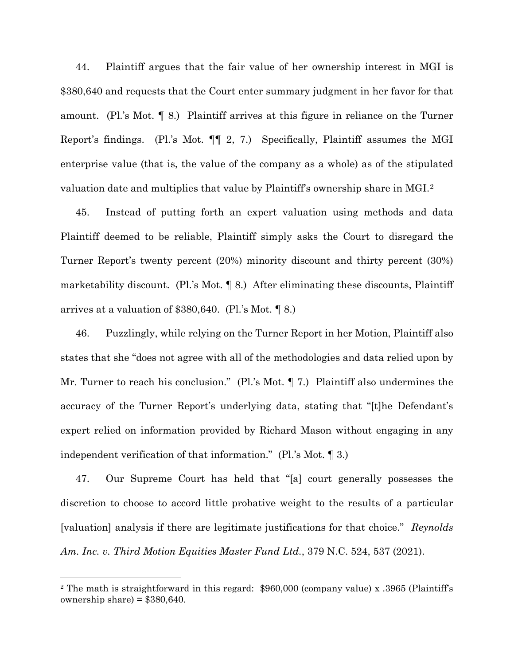44. Plaintiff argues that the fair value of her ownership interest in MGI is \$380,640 and requests that the Court enter summary judgment in her favor for that amount. (Pl.'s Mot. ¶ 8.) Plaintiff arrives at this figure in reliance on the Turner Report's findings. (Pl.'s Mot. ¶¶ 2, 7.) Specifically, Plaintiff assumes the MGI enterprise value (that is, the value of the company as a whole) as of the stipulated valuation date and multiplies that value by Plaintiff's ownership share in MGI.[2](#page-13-0)

45. Instead of putting forth an expert valuation using methods and data Plaintiff deemed to be reliable, Plaintiff simply asks the Court to disregard the Turner Report's twenty percent (20%) minority discount and thirty percent (30%) marketability discount. (Pl.'s Mot. ¶ 8.) After eliminating these discounts, Plaintiff arrives at a valuation of \$380,640. (Pl.'s Mot. ¶ 8.)

46. Puzzlingly, while relying on the Turner Report in her Motion, Plaintiff also states that she "does not agree with all of the methodologies and data relied upon by Mr. Turner to reach his conclusion." (Pl.'s Mot. ¶ 7.) Plaintiff also undermines the accuracy of the Turner Report's underlying data, stating that "[t]he Defendant's expert relied on information provided by Richard Mason without engaging in any independent verification of that information." (Pl.'s Mot. ¶ 3.)

47. Our Supreme Court has held that "[a] court generally possesses the discretion to choose to accord little probative weight to the results of a particular [valuation] analysis if there are legitimate justifications for that choice." *Reynolds Am. Inc. v. Third Motion Equities Master Fund Ltd.*, 379 N.C. 524, 537 (2021).

<span id="page-13-0"></span><sup>2</sup> The math is straightforward in this regard: \$960,000 (company value) x .3965 (Plaintiff's ownership share) =  $$380,640$ .